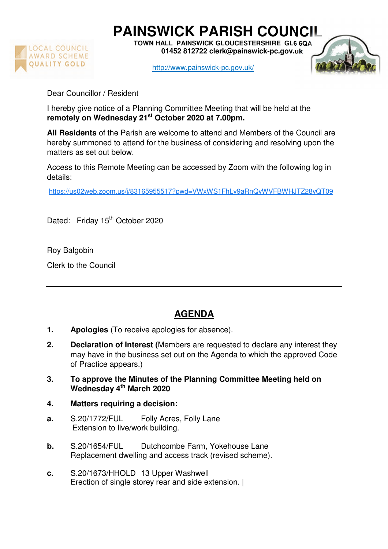

**PAINSWICK PARISH COUNCIL** 

**TOWN HALL PAINSWICK GLOUCESTERSHIRE GL6 6QA 01452 812722 clerk@painswick-pc.gov.uk** 

http://www.painswick-pc.gov.uk/



Dear Councillor / Resident

I hereby give notice of a Planning Committee Meeting that will be held at the **remotely on Wednesday 21st October 2020 at 7.00pm.**

**All Residents** of the Parish are welcome to attend and Members of the Council are hereby summoned to attend for the business of considering and resolving upon the matters as set out below.

Access to this Remote Meeting can be accessed by Zoom with the following log in details:

https://us02web.zoom.us/j/83165955517?pwd=VWxWS1FhLy9aRnQyWVFBWHJTZ28yQT09

Dated: Friday 15<sup>th</sup> October 2020

Roy Balgobin

Clerk to the Council

## **AGENDA**

- **1. Apologies** (To receive apologies for absence).
- **2. Declaration of Interest (**Members are requested to declare any interest they may have in the business set out on the Agenda to which the approved Code of Practice appears.)
- **3. To approve the Minutes of the Planning Committee Meeting held on Wednesday 4th March 2020**
- **4. Matters requiring a decision:**
- **a.** S.20/1772/FUL Folly Acres, Folly Lane Extension to live/work building.
- **b.** S.20/1654/FUL Dutchcombe Farm, Yokehouse Lane Replacement dwelling and access track (revised scheme).
- **c.** S.20/1673/HHOLD 13 Upper Washwell Erection of single storey rear and side extension. |